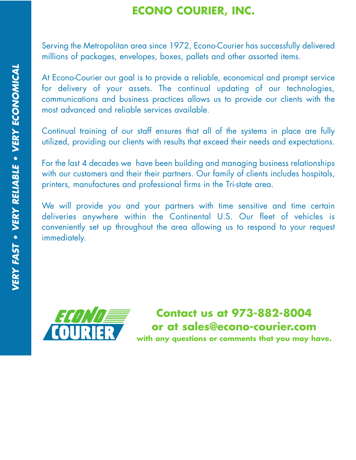# **ECONO COURIER, INC.**

Serving the Metropolitan area since 1972, Econo-Courier has successfully delivered millions of packages, envelopes, boxes, pallets and other assorted items.

At Econo-Courier our goal is to provide a reliable, economical and prompt service for delivery of your assets. The continual updating of our technologies, communications and business practices allows us to provide our clients with the most advanced and reliable services available.

Continual training of our staff ensures that all of the systems in place are fully utilized, providing our clients with results that exceed their needs and expectations.

For the last 4 decades we have been building and managing business relationships with our customers and their their partners. Our family of clients includes hospitals, printers, manufactures and professional firms in the Tri-state area.

We will provide you and your partners with time sensitive and time certain deliveries anywhere within the Continental U.S. Our fleet of vehicles is conveniently set up throughout the area allowing us to respond to your request immediately.

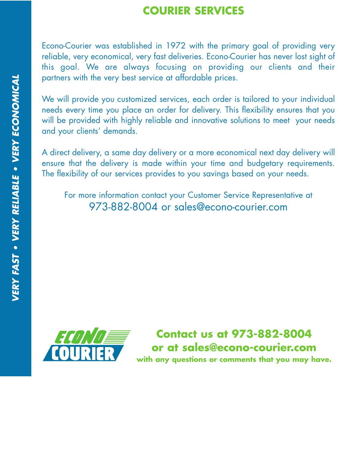#### **COURIER SERVICES**

Econo-Courier was established in 1972 with the primary goal of providing very reliable, very economical, very fast deliveries. Econo-Courier has never lost sight of this goal. We are always focusing on providing our clients and their partners with the very best service at affordable prices.

We will provide you customized services, each order is tailored to your individual needs every time you place an order for delivery. This flexibility ensures that you will be provided with highly reliable and innovative solutions to meet your needs and your clients' demands.

A direct delivery, a same day delivery or a more economical next day delivery will ensure that the delivery is made within your time and budgetary requirements. The flexibility of our services provides to you savings based on your needs.

For more information contact your Customer Service Representative at 973-882-8004 or sales@econo-courier.com

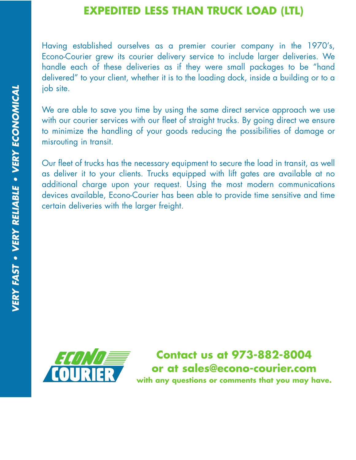#### **EXPEDITED LESS THAN TRUCK LOAD (LTL)**

Having established ourselves as a premier courier company in the 1970's, Econo-Courier grew its courier delivery service to include larger deliveries. We handle each of these deliveries as if they were small packages to be "hand delivered" to your client, whether it is to the loading dock, inside a building or to a job site.

We are able to save you time by using the same direct service approach we use with our courier services with our fleet of straight trucks. By going direct we ensure to minimize the handling of your goods reducing the possibilities of damage or misrouting in transit.

Our fleet of trucks has the necessary equipment to secure the load in transit, as well as deliver it to your clients. Trucks equipped with lift gates are available at no additional charge upon your request. Using the most modern communications devices available, Econo-Courier has been able to provide time sensitive and time certain deliveries with the larger freight.

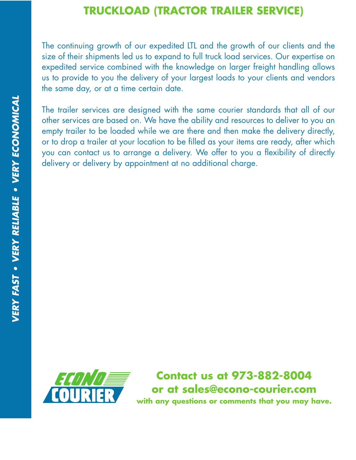## **TRUCKLOAD (TRACTOR TRAILER SERVICE)**

The continuing growth of our expedited LTL and the growth of our clients and the size of their shipments led us to expand to full truck load services. Our expertise on expedited service combined with the knowledge on larger freight handling allows us to provide to you the delivery of your largest loads to your clients and vendors the same day, or at a time certain date.

The trailer services are designed with the same courier standards that all of our other services are based on. We have the ability and resources to deliver to you an empty trailer to be loaded while we are there and then make the delivery directly, or to drop a trailer at your location to be filled as your items are ready, after which you can contact us to arrange a delivery. We offer to you a flexibility of directly delivery or delivery by appointment at no additional charge.

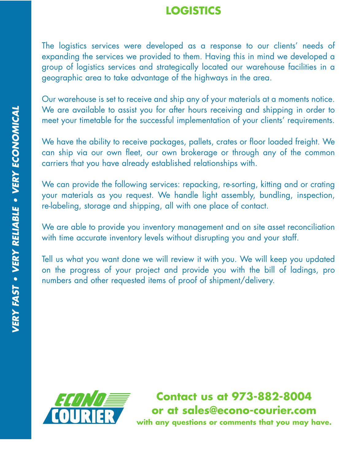## **LOGISTICS**

The logistics services were developed as a response to our clients' needs of expanding the services we provided to them. Having this in mind we developed a group of logistics services and strategically located our warehouse facilities in a geographic area to take advantage of the highways in the area.

Our warehouse is set to receive and ship any of your materials at a moments notice. We are available to assist you for after hours receiving and shipping in order to meet your timetable for the successful implementation of your clients' requirements.

We have the ability to receive packages, pallets, crates or floor loaded freight. We can ship via our own fleet, our own brokerage or through any of the common carriers that you have already established relationships with.

We can provide the following services: repacking, re-sorting, kitting and or crating your materials as you request. We handle light assembly, bundling, inspection, re-labeling, storage and shipping, all with one place of contact.

We are able to provide you inventory management and on site asset reconciliation with time accurate inventory levels without disrupting you and your staff.

Tell us what you want done we will review it with you. We will keep you updated on the progress of your project and provide you with the bill of ladings, pro numbers and other requested items of proof of shipment/delivery.